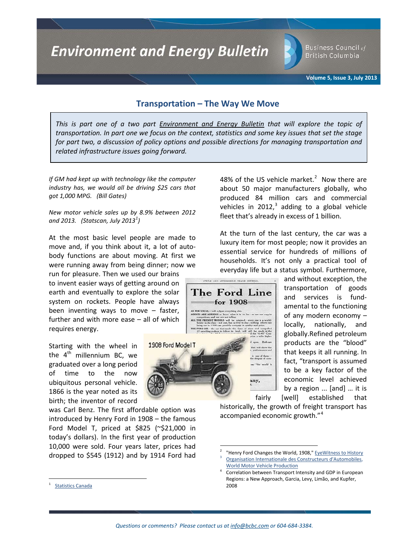**Environment and Energy Bulletin** 

**Business Council of British Columbia** 

**Volume 5, Issue 3, July 2013**

# **Transportation – The Way We Move**

*This is part one of a two part Environment and Energy Bulletin that will explore the topic of transportation. In part one we focus on the context, statistics and some key issues that set the stage for part two, a discussion of policy options and possible directions for managing transportation and related infrastructure issues going forward.* 

> The Ford Line  $=$ for 1908 $=$

> > iny,

**DELS** 

ALL THE PRESENT N

1908 Ford Model T

*If GM had kept up with technology like the computer industry has, we would all be driving \$25 cars that got 1,000 MPG. (Bill Gates)*

*New motor vehicle sales up by 8.9% between 2012 and 2013. (Statscan, July 2013[1](#page-0-0) )*

At the most basic level people are made to move and, if you think about it, a lot of autobody functions are about moving. At first we were running away from being dinner; now we

run for pleasure. Then we used our brains to invent easier ways of getting around on earth and eventually to explore the solar system on rockets. People have always been inventing ways to move – faster, further and with more ease – all of which requires energy.

Starting with the wheel in the  $4<sup>th</sup>$  millennium BC, we graduated over a long period of time to the now ubiquitous personal vehicle. 1866 is the year noted as its birth; the inventor of record

was Carl Benz. The first affordable option was introduced by Henry Ford in 1908 – the famous Ford Model T, priced at \$825 (~\$21,000 in today's dollars). In the first year of production 10,000 were sold. Four years later, prices had dropped to \$545 (1912) and by 1914 Ford had 48% of the US vehicle market.<sup>[2](#page-0-1)</sup> Now there are about 50 major manufacturers globally, who produced 84 million cars and commercial vehicles in 2012, $3$  adding to a global vehicle fleet that's already in excess of 1 billion.

At the turn of the last century, the car was a luxury item for most people; now it provides an essential service for hundreds of millions of households. It's not only a practical tool of everyday life but a status symbol. Furthermore,



historically, the growth of freight transport has accompanied economic growth."<sup>[4](#page-0-3)</sup>

<span id="page-0-3"></span><span id="page-0-2"></span><span id="page-0-1"></span><span id="page-0-0"></span>**[Statistics Canada](http://www.statcan.gc.ca/tables-tableaux/sum-som/l01/cst01/econ58a-eng.htm)** 

<sup>&</sup>quot;Henry Ford Changes the World, 1908," EveWitness to History Organisation Internationale des Constructeurs d'Automobiles, [World Motor Vehicle Production](http://oica.net/category/production-statistics/)

<sup>4</sup> Correlation between Transport Intensity and GDP in European Regions: a New Approach, Garcia, Levy, Limão, and Kupfer, 2008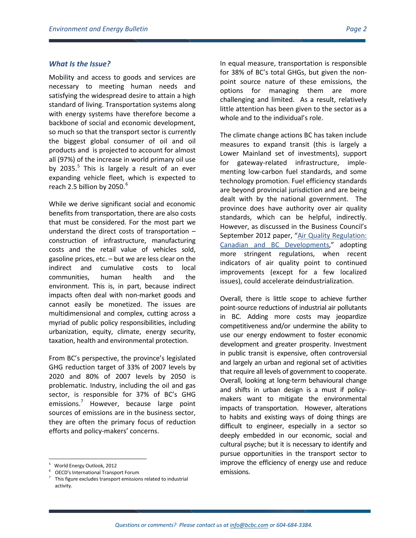# *What Is the Issue?*

Mobility and access to goods and services are necessary to meeting human needs and satisfying the widespread desire to attain a high standard of living. Transportation systems along with energy systems have therefore become a backbone of social and economic development, so much so that the transport sector is currently the biggest global consumer of oil and oil products and is projected to account for almost all (97%) of the increase in world primary oil use by 203[5](#page-1-0). $5$  This is largely a result of an ever expanding vehicle fleet, which is expected to reach 2.5 billion by  $2050.<sup>6</sup>$  $2050.<sup>6</sup>$  $2050.<sup>6</sup>$ 

While we derive significant social and economic benefits from transportation, there are also costs that must be considered. For the most part we understand the direct costs of transportation – construction of infrastructure, manufacturing costs and the retail value of vehicles sold, gasoline prices, etc. – but we are less clear on the indirect and cumulative costs to local communities, human health and the environment. This is, in part, because indirect impacts often deal with non-market goods and cannot easily be monetized. The issues are multidimensional and complex, cutting across a myriad of public policy responsibilities, including urbanization, equity, climate, energy security, taxation, health and environmental protection.

From BC's perspective, the province's legislated GHG reduction target of 33% of 2007 levels by 2020 and 80% of 2007 levels by 2050 is problematic. Industry, including the oil and gas sector, is responsible for 37% of BC's GHG emissions.<sup>[7](#page-1-2)</sup> However, because large point sources of emissions are in the business sector, they are often the primary focus of reduction efforts and policy-makers' concerns.

In equal measure, transportation is responsible for 38% of BC's total GHGs, but given the nonpoint source nature of these emissions, the options for managing them are more challenging and limited. As a result, relatively little attention has been given to the sector as a whole and to the individual's role.

The climate change actions BC has taken include measures to expand transit (this is largely a Lower Mainland set of investments), support for gateway-related infrastructure, implementing low-carbon fuel standards, and some technology promotion. Fuel efficiency standards are beyond provincial jurisdiction and are being dealt with by the national government. The province does have authority over air quality standards, which can be helpful, indirectly. However, as discussed in the Business Council's September 2012 paper, ["Air Quality Regulation:](http://www.bcbc.com/publications/2012/environment-and-energy-bulletin-brair-quality-regulation-canadian-and-bc-developments)  [Canadian and BC Developments,](http://www.bcbc.com/publications/2012/environment-and-energy-bulletin-brair-quality-regulation-canadian-and-bc-developments)" adopting more stringent regulations, when recent indicators of air quality point to continued improvements (except for a few localized issues), could accelerate deindustrialization.

Overall, there is little scope to achieve further point-source reductions of industrial air pollutants in BC. Adding more costs may jeopardize competitiveness and/or undermine the ability to use our energy endowment to foster economic development and greater prosperity. Investment in public transit is expensive, often controversial and largely an urban and regional set of activities that require all levels of government to cooperate. Overall, looking at long-term behavioural change and shifts in urban design is a must if policymakers want to mitigate the environmental impacts of transportation. However, alterations to habits and existing ways of doing things are difficult to engineer, especially in a sector so deeply embedded in our economic, social and cultural psyche; but it is necessary to identify and pursue opportunities in the transport sector to improve the efficiency of energy use and reduce emissions.

<span id="page-1-0"></span><sup>-&</sup>lt;br>5 World Energy Outlook, 2012

<span id="page-1-2"></span><span id="page-1-1"></span>OECD's International Transport Forum<br>This figure excludes transport emissions related to industrial activity.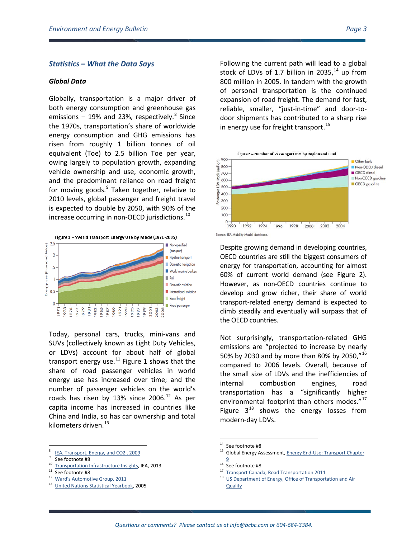# *Statistics – What the Data Says*

#### *Global Data*

Globally, transportation is a major driver of both energy consumption and greenhouse gas emissions  $-19%$  and 23%, respectively. $8$  Since the 1970s, transportation's share of worldwide energy consumption and GHG emissions has risen from roughly 1 billion tonnes of oil equivalent (Toe) to 2.5 billion Toe per year, owing largely to population growth, expanding vehicle ownership and use, economic growth, and the predominant reliance on road freight for moving goods. $9$  Taken together, relative to 2010 levels, global passenger and freight travel is expected to double by 2050, with 90% of the increase occurring in non-OECD jurisdictions.<sup>[10](#page-2-2)</sup>



Today, personal cars, trucks, mini-vans and SUVs (collectively known as Light Duty Vehicles, or LDVs) account for about half of global transport energy use. $^{11}$  $^{11}$  $^{11}$  Figure 1 shows that the share of road passenger vehicles in world energy use has increased over time; and the number of passenger vehicles on the world's roads has risen by 13% since 2006.<sup>[12](#page-2-4)</sup> As per capita income has increased in countries like China and India, so has car ownership and total kilometers driven.<sup>[13](#page-2-5)</sup>

- <span id="page-2-6"></span><span id="page-2-0"></span><sup>8</sup> [IEA, Transport, Energy, and CO2 , 2009](http://www.iea.org/publications/freepublications/publication/transport2009.pdf)<br><sup>10</sup> See footnote #8<br><sup>11</sup> See footnote #8<br><sup>11</sup> See footnote #8<br><sup>12</sup> Ward's Automotive Group, 2011<br><sup>13</sup> Ward's Automotive Group, 2011
- <span id="page-2-3"></span>
- <span id="page-2-5"></span><span id="page-2-4"></span>
- <sup>13</sup> [United Nations Statistical Yearbook,](http://www.imf.org/external/pubs/ft/weo/2005/01/chp4pdf/fig4_7.pdf) 2005

Following the current path will lead to a global stock of LDVs of 1.7 billion in 2035, $^{14}$  $^{14}$  $^{14}$  up from 800 million in 2005. In tandem with the growth of personal transportation is the continued expansion of road freight. The demand for fast, reliable, smaller, "just-in-time" and door-todoor shipments has contributed to a sharp rise in energy use for freight transport.<sup>[15](#page-2-0)</sup>



Despite growing demand in developing countries, OECD countries are still the biggest consumers of energy for transportation, accounting for almost 60% of current world demand (see Figure 2). However, as non-OECD countries continue to develop and grow richer, their share of world transport-related energy demand is expected to climb steadily and eventually will surpass that of the OECD countries.

Not surprisingly, transportation-related GHG emissions are "projected to increase by nearly 50% by 2030 and by more than 80% by 2050,"<sup>[16](#page-2-2)</sup> compared to 2006 levels. Overall, because of the small size of LDVs and the inefficiencies of internal combustion engines, road transportation has a "significantly higher environmental footprint than others modes."<sup>[17](#page-2-3)</sup> Figure  $3^{18}$  $3^{18}$  $3^{18}$  shows the energy losses from modern-day LDVs.

<span id="page-2-2"></span><span id="page-2-1"></span>

<sup>&</sup>lt;sup>14</sup> See footnote #8

<sup>&</sup>lt;sup>15</sup> Global Energy Assessment, **Energy End-Use: Transport Chapter**  $rac{9}{2}$  $rac{9}{2}$  $rac{9}{2}$ <br><sup>16</sup> See footnote #8

<sup>&</sup>lt;sup>17</sup> [Transport Canada, Road Transportation 2011](http://www.tc.gc.ca/eng/policy/anre-menu-3021.htm)<br><sup>18</sup> US Department of Energy, Office of Transportation and Air **[Quality](http://www.fueleconomy.gov/feg/atv.shtml)**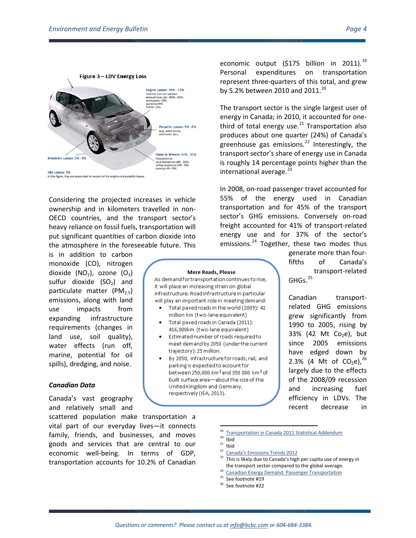

Considering the projected increases in vehicle ownership and in kilometers travelled in non-OECD countries, and the transport sector's heavy reliance on fossil fuels, transportation will put significant quantities of carbon dioxide into the atmosphere in the foreseeable future. This

is in addition to carbon monoxide (CO), nitrogen dioxide  $(NO<sub>2</sub>)$ , ozone  $(O<sub>3</sub>)$ sulfur dioxide  $(SO<sub>2</sub>)$  and particulate matter  $(PM_{2.5})$ emissions, along with land use impacts from expanding infrastructure requirements (changes in land use, soil quality), water effects (run off, marine, potential for oil spills), dredging, and noise.

#### *Canadian Data*

Canada's vast geography and relatively small and

<span id="page-3-7"></span><span id="page-3-6"></span><span id="page-3-5"></span><span id="page-3-4"></span><span id="page-3-3"></span><span id="page-3-2"></span><span id="page-3-1"></span><span id="page-3-0"></span>scattered population make transportation a vital part of our everyday lives—it connects family, friends, and businesses, and moves goods and services that are central to our economic well-being. In terms of GDP, transportation accounts for 10.2% of Canadian

economic output  $(5175 \text{ billion in } 2011).^{19}$  $(5175 \text{ billion in } 2011).^{19}$  $(5175 \text{ billion in } 2011).^{19}$ Personal expenditures on transportation represent three-quarters of this total, and grew by 5.2% between [20](#page-3-1)10 and 2011.<sup>20</sup>

The transport sector is the single largest user of energy in Canada; in 2010, it accounted for onethird of total energy use. $^{21}$  $^{21}$  $^{21}$  Transportation also produces about one quarter (24%) of Canada's greenhouse gas emissions.<sup>[22](#page-3-3)</sup> Interestingly, the transport sector's share of energy use in Canada is roughly 14 percentage points higher than the international average.<sup>[23](#page-3-4)</sup>

In 2008, on-road passenger travel accounted for 55% of the energy used in Canadian transportation and for 45% of the transport sector's GHG emissions. Conversely on-road freight accounted for 41% of transport-related energy use and for 37% of the sector's emissions.<sup>[24](#page-3-5)</sup> Together, these two modes thus

> generate more than fourfifths of Canada's transport-related GHGs.[25](#page-3-6)

> Canadian transportrelated GHG emissions grew significantly from 1990 to 2005, rising by 33% (42 Mt  $Co<sub>2</sub>e$ ), but since 2005 emissions have edged down by 2.3% (4 Mt of  $CO<sub>2</sub>e$ ),<sup>[26](#page-3-7)</sup> largely due to the effects of the 2008/09 recession and increasing fuel efficiency in LDVs. The recent decrease in

**More Roads, Please** As demand for transportation continues to rise, it will place an increasing strain on global infrastructure. Road infrastructure in particular will play an important role in meeting demand: Total paved roads in the world (2009): 42 million km (two-lane equivalent) Total paved roads in Canada (2011): 416,000km (two-lane equivalent) Estimated number of roads required to meet demand by 2050 (under the current

> By 2050, infrastructure for roads, rail, and parking is expected to account for between 250,000 km<sup>2</sup> and 350 000 km<sup>2</sup> of built surface area-about the size of the United Kingdom and Germany, respectively (IEA, 2013).

trajectory): 25 million.

- 
- 
- <sup>19</sup> Iransportation in Canada 2011 Statistical Addendum<br><sup>21</sup> Ibid<br><sup>22</sup> [Canada's Emissions Trends 2012](http://www.ec.gc.ca/Publications/253AE6E6-5E73-4AFC-81B7-9CF440D5D2C5/793-Canada)<br><sup>23</sup> This is likely due to Canada's high per capita use of energy in
- the transport sector compared to the global average.<br><sup>24</sup> [Canadian Energy Demand: Passenger Transportation](http://www.neb-one.gc.ca/clf-nsi/rnrgynfmtn/nrgyrprt/nrgdmnd/pssngrtrnsprttn2009/pssngrtrnsprttn-eng.pdf) <sup>25</sup> See footnote #19
- 
- <sup>26</sup> See footnote #22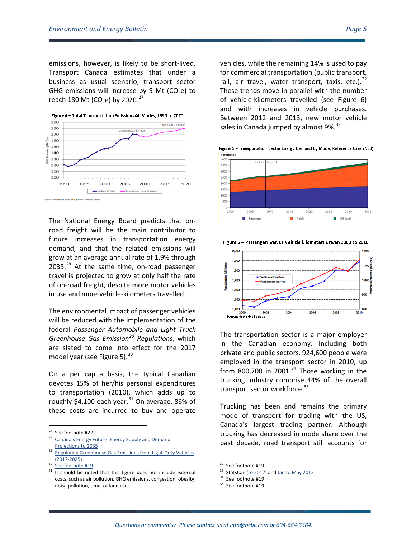emissions, however, is likely to be short-lived. Transport Canada estimates that under a business as usual scenario, transport sector GHG emissions will increase by 9 Mt ( $CO<sub>2</sub>e$ ) to reach 180 Mt (CO<sub>2</sub>e) by 2020.<sup>[27](#page-4-0)</sup>



The National Energy Board predicts that onroad freight will be the main contributor to future increases in transportation energy demand, and that the related emissions will grow at an average annual rate of 1.9% through 2035.<sup>[28](#page-4-1)</sup> At the same time, on-road passenger travel is projected to grow at only half the rate of on-road freight, despite more motor vehicles in use and more vehicle-kilometers travelled.

The environmental impact of passenger vehicles will be reduced with the implementation of the federal *Passenger Automobile and Light Truck Greenhouse Gas Emission[29](#page-4-2) Regulations*, which are slated to come into effect for the 2017 model year (see Figure 5). $^{30}$  $^{30}$  $^{30}$ 

On a per capita basis, the typical Canadian devotes 15% of her/his personal expenditures to transportation (2010), which adds up to roughly \$4,100 each year. $31$  On average, 86% of these costs are incurred to buy and operate

<span id="page-4-1"></span><span id="page-4-0"></span><sup>27</sup> See footnote #22<br><sup>28</sup> Canada's Energy Future: Energy Supply and Demand [Projections to 2035](http://www.neb-one.gc.ca/clf-nsi/rnrgynfmtn/nrgyrprt/nrgyftr/2011/nrgsppldmndprjctn2035-eng.pdf)

vehicles, while the remaining 14% is used to pay for commercial transportation (public transport, rail, air travel, water transport, taxis, etc.). $^{32}$  $^{32}$  $^{32}$ These trends move in parallel with the number of vehicle-kilometers travelled (see Figure 6) and with increases in vehicle purchases. Between 2012 and 2013, new motor vehicle sales in Canada jumped by almost  $9\%$ .  $33$ 

Figure 5 - Transportation Sector Energy Demand by Mode, Reference Case (NEB) Petajoule:





The transportation sector is a major employer in the Canadian economy. Including both private and public sectors, 924,600 people were employed in the transport sector in 2010, up from 800,700 in 2001. $34$  Those working in the trucking industry comprise 44% of the overall transport sector workforce.<sup>[35](#page-4-6)</sup>

Trucking has been and remains the primary mode of transport for trading with the US, Canada's largest trading partner. Although trucking has decreased in mode share over the past decade, road transport still accounts for

<span id="page-4-2"></span>Regulating Greenhouse Gas Emissions from Light-Duty Vehicles [\(2017-2025\)](http://www.ec.gc.ca/default.asp?lang=En&n=56D4043B-1&news=1F13DA8A-EB01-4202-AA6B-9E1E49BBD11E)<br>[See footnote #19](http://www.neb-one.gc.ca/clf-nsi/rnrgynfmtn/nrgyrprt/nrgyftr/2011/nrgsppldmndprjctn2035-eng.html#f3_6)

<span id="page-4-6"></span><span id="page-4-5"></span><span id="page-4-4"></span><span id="page-4-3"></span><sup>&</sup>lt;sup>31</sup> It should be noted that this figure does not include external costs, such as air pollution, GHG emissions, congestion, obesity, noise pollution, time, or land use.

<sup>&</sup>lt;sup>32</sup> See footnote #19

 $33$  StatsCan [\(to 2012\)](http://www.statcan.gc.ca/tables-tableaux/sum-som/l01/cst01/trade12-eng.htm) an[d Jan to May 2013](http://www5.statcan.gc.ca/cansim/a26?lang=eng&retrLang=eng&id=0790003&paSer=&pattern=&stByVal=1&p1=1&p2=31&tabMode=dataTable&csid=)<br> $34$  See footnote #19

<sup>&</sup>lt;sup>35</sup> See footnote #19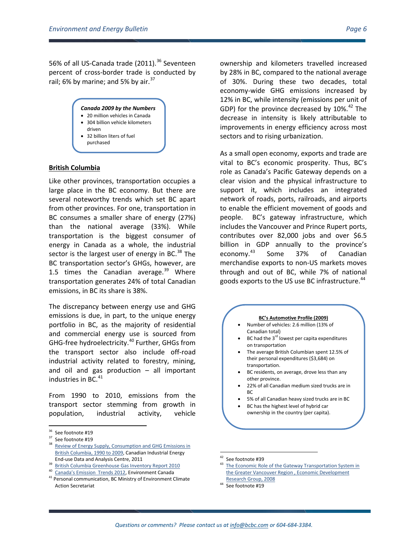56% of all US-Canada trade (2011).<sup>[36](#page-5-0)</sup> Seventeen percent of cross-border trade is conducted by rail; 6% by marine; and 5% by air. $37$ 



- 20 million vehicles in Canada
- 304 billion vehicle kilometers driven
- 32 billion liters of fuel
- purchased

### **British Columbia**

Like other provinces, transportation occupies a large place in the BC economy. But there are several noteworthy trends which set BC apart from other provinces. For one, transportation in BC consumes a smaller share of energy (27%) than the national average (33%). While transportation is the biggest consumer of energy in Canada as a whole, the industrial sector is the largest user of energy in BC. $^{38}$  $^{38}$  $^{38}$  The BC transportation sector's GHGs, however, are 1.5 times the Canadian average. $39$  Where transportation generates 24% of total Canadian emissions, in BC its share is 38%.

The discrepancy between energy use and GHG emissions is due, in part, to the unique energy portfolio in BC, as the majority of residential and commercial energy use is sourced from GHG-free hydroelectricity.<sup>[40](#page-5-4)</sup> Further, GHGs from the transport sector also include off-road industrial activity related to forestry, mining, and oil and gas production  $-$  all important industries in BC.<sup>[41](#page-5-5)</sup>

From 1990 to 2010, emissions from the transport sector stemming from growth in population, industrial activity, vehicle

ownership and kilometers travelled increased by 28% in BC, compared to the national average of 30%. During these two decades, total economy-wide GHG emissions increased by 12% in BC, while intensity (emissions per unit of GDP) for the province decreased by  $10\%$ .<sup>[42](#page-5-6)</sup> The decrease in intensity is likely attributable to improvements in energy efficiency across most sectors and to rising urbanization.

As a small open economy, exports and trade are vital to BC's economic prosperity. Thus, BC's role as Canada's Pacific Gateway depends on a clear vision and the physical infrastructure to support it, which includes an integrated network of roads, ports, railroads, and airports to enable the efficient movement of goods and people. BC's gateway infrastructure, which includes the Vancouver and Prince Rupert ports, contributes over 82,000 jobs and over \$6.5 billion in GDP annually to the province's economy.[43](#page-5-3) Some 37% of Canadian merchandise exports to non-US markets moves through and out of BC, while 7% of national goods exports to the US use BC infrastructure.<sup>[44](#page-5-7)</sup>

#### **BC's Automotive Profile (2009)**

- Number of vehicles: 2.6 million (13% of Canadian total)
- BC had the  $3^{rd}$  lowest per capita expenditures on transportation
- The average British Columbian spent 12.5% of their personal expenditures (\$3,684) on transportation.
- BC residents, on average, drove less than any other province.
- 22% of all Canadian medium sized trucks are in BC
- 5% of all Canadian heavy sized trucks are in BC
- BC has the highest level of hybrid car ownership in the country (per capita).

 $\overline{a}$ 

<span id="page-5-2"></span>

<span id="page-5-1"></span><span id="page-5-0"></span><sup>&</sup>lt;sup>36</sup> See footnote #19<br><sup>37</sup> See footnote #19<br><sup>38</sup> <u>Review of Energy Supply, Consumption and GHG Emissions in</u> [British Columbia, 1990 to 2009,](http://www2.cieedac.sfu.ca/media/publications/BC_2011_report__09_data__final.pdf) Canadian Industrial Energy

<span id="page-5-6"></span>End-use Data and Analysis Centre, 2011 <sup>39</sup> [British Columbia Greenhouse Gas Inventory Report 2010](http://www.env.gov.bc.ca/cas/mitigation/ghg_inventory/pdf/pir-2010-full-report.pdf)

<span id="page-5-5"></span><span id="page-5-4"></span><span id="page-5-3"></span><sup>&</sup>lt;sup>40</sup> [Canada's Emission Trends 2012,](http://www.ec.gc.ca/Publications/253AE6E6-5E73-4AFC-81B7-9CF440D5D2C5/793-Canada) Environment Canada<br><sup>41</sup> Personal communication, BC Ministry of Environment Climate

<span id="page-5-7"></span>Action Secretariat

<sup>&</sup>lt;sup>42</sup> See footnote #39<br> $43$  The Economic Role of the Gateway Transportation System in [the Greater Vancouver Region , Economic Development](http://www.gvgc.org/pdf/EconRoleVancouverGTS_Report.pdf)  [Research Group, 2008](http://www.gvgc.org/pdf/EconRoleVancouverGTS_Report.pdf) 44 See footnote #19